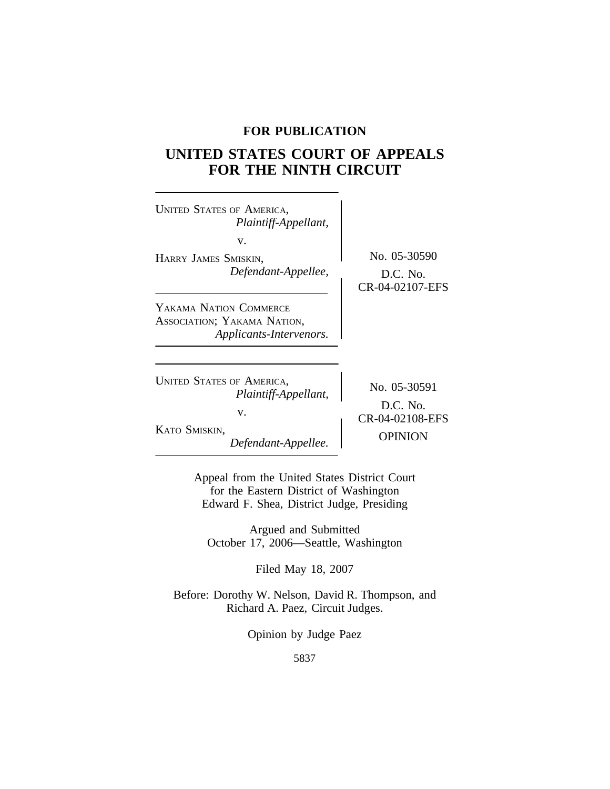## **FOR PUBLICATION**

# **UNITED STATES COURT OF APPEALS FOR THE NINTH CIRCUIT**

| <b>UNITED STATES OF AMERICA,</b><br>Plaintiff-Appellant,<br>v.<br>HARRY JAMES SMISKIN,<br>Defendant-Appellee, | No. 05-30590<br>$D.C.$ No.<br>CR-04-02107-EFS                   |
|---------------------------------------------------------------------------------------------------------------|-----------------------------------------------------------------|
| YAKAMA NATION COMMERCE<br>ASSOCIATION; YAKAMA NATION,<br>Applicants-Intervenors.                              |                                                                 |
| <b>UNITED STATES OF AMERICA,</b><br>Plaintiff-Appellant,<br>V.<br>KATO SMISKIN,<br>Defendant-Appellee.        | No. 05-30591<br>$D.C.$ No.<br>CR-04-02108-EFS<br><b>OPINION</b> |

Appeal from the United States District Court for the Eastern District of Washington Edward F. Shea, District Judge, Presiding

Argued and Submitted October 17, 2006—Seattle, Washington

Filed May 18, 2007

Before: Dorothy W. Nelson, David R. Thompson, and Richard A. Paez, Circuit Judges.

Opinion by Judge Paez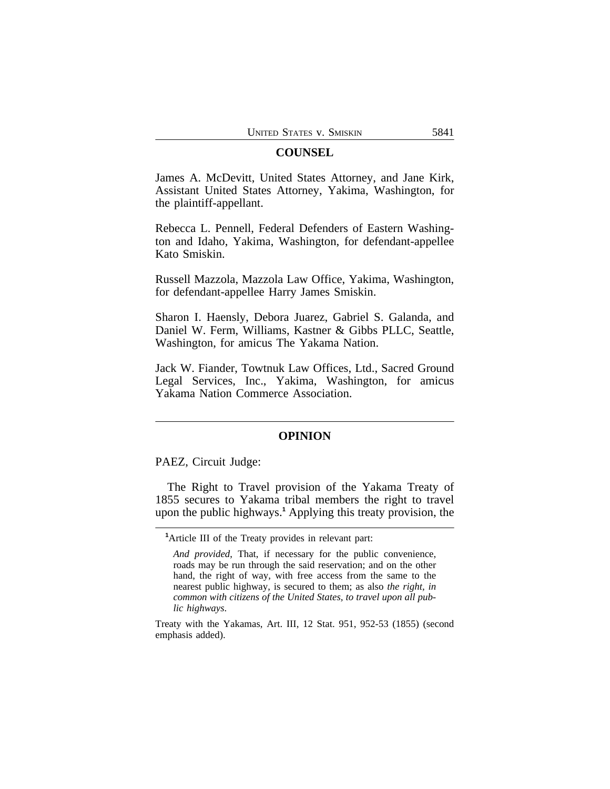## **COUNSEL**

James A. McDevitt, United States Attorney, and Jane Kirk, Assistant United States Attorney, Yakima, Washington, for the plaintiff-appellant.

Rebecca L. Pennell, Federal Defenders of Eastern Washington and Idaho, Yakima, Washington, for defendant-appellee Kato Smiskin.

Russell Mazzola, Mazzola Law Office, Yakima, Washington, for defendant-appellee Harry James Smiskin.

Sharon I. Haensly, Debora Juarez, Gabriel S. Galanda, and Daniel W. Ferm, Williams, Kastner & Gibbs PLLC, Seattle, Washington, for amicus The Yakama Nation.

Jack W. Fiander, Towtnuk Law Offices, Ltd., Sacred Ground Legal Services, Inc., Yakima, Washington, for amicus Yakama Nation Commerce Association.

## **OPINION**

PAEZ, Circuit Judge:

The Right to Travel provision of the Yakama Treaty of 1855 secures to Yakama tribal members the right to travel upon the public highways.**<sup>1</sup>** Applying this treaty provision, the

**<sup>1</sup>**Article III of the Treaty provides in relevant part:

*And provided*, That, if necessary for the public convenience, roads may be run through the said reservation; and on the other hand, the right of way, with free access from the same to the nearest public highway, is secured to them; as also *the right, in common with citizens of the United States, to travel upon all public highways*.

Treaty with the Yakamas, Art. III, 12 Stat. 951, 952-53 (1855) (second emphasis added).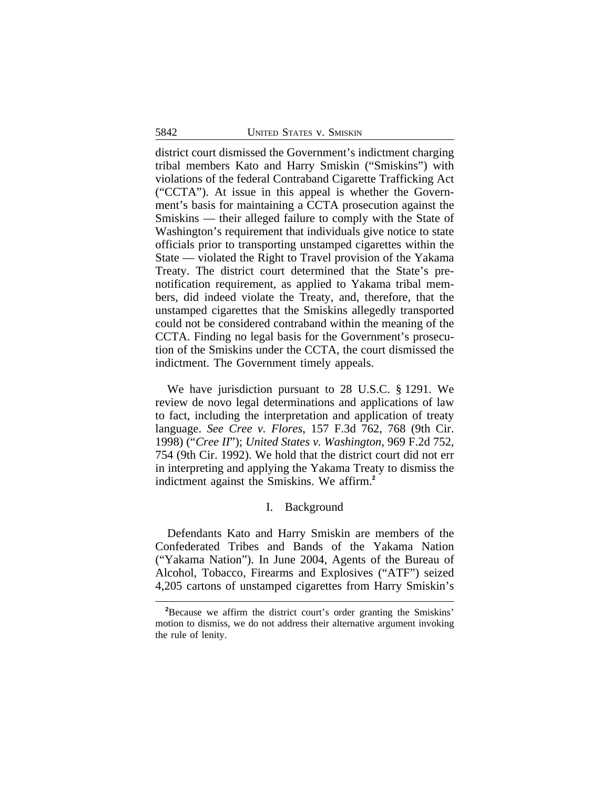district court dismissed the Government's indictment charging tribal members Kato and Harry Smiskin ("Smiskins") with violations of the federal Contraband Cigarette Trafficking Act ("CCTA"). At issue in this appeal is whether the Government's basis for maintaining a CCTA prosecution against the Smiskins — their alleged failure to comply with the State of Washington's requirement that individuals give notice to state officials prior to transporting unstamped cigarettes within the State — violated the Right to Travel provision of the Yakama Treaty. The district court determined that the State's prenotification requirement, as applied to Yakama tribal members, did indeed violate the Treaty, and, therefore, that the unstamped cigarettes that the Smiskins allegedly transported could not be considered contraband within the meaning of the CCTA. Finding no legal basis for the Government's prosecution of the Smiskins under the CCTA, the court dismissed the indictment. The Government timely appeals.

We have jurisdiction pursuant to 28 U.S.C. § 1291. We review de novo legal determinations and applications of law to fact, including the interpretation and application of treaty language. *See Cree v. Flores*, 157 F.3d 762, 768 (9th Cir. 1998) ("*Cree II*"); *United States v. Washington*, 969 F.2d 752, 754 (9th Cir. 1992). We hold that the district court did not err in interpreting and applying the Yakama Treaty to dismiss the indictment against the Smiskins. We affirm.**<sup>2</sup>**

## I. Background

Defendants Kato and Harry Smiskin are members of the Confederated Tribes and Bands of the Yakama Nation ("Yakama Nation"). In June 2004, Agents of the Bureau of Alcohol, Tobacco, Firearms and Explosives ("ATF") seized 4,205 cartons of unstamped cigarettes from Harry Smiskin's

**<sup>2</sup>**Because we affirm the district court's order granting the Smiskins' motion to dismiss, we do not address their alternative argument invoking the rule of lenity.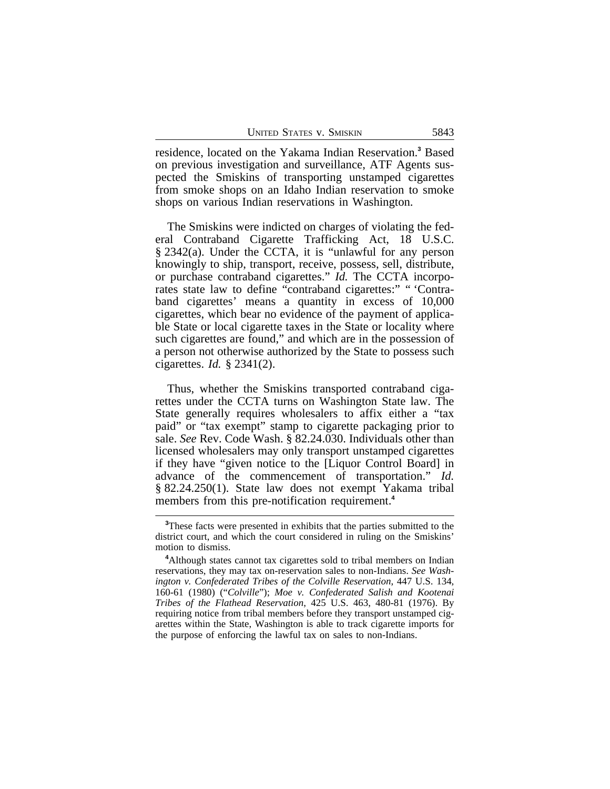residence, located on the Yakama Indian Reservation.**<sup>3</sup>** Based on previous investigation and surveillance, ATF Agents suspected the Smiskins of transporting unstamped cigarettes from smoke shops on an Idaho Indian reservation to smoke shops on various Indian reservations in Washington.

The Smiskins were indicted on charges of violating the federal Contraband Cigarette Trafficking Act, 18 U.S.C. § 2342(a). Under the CCTA, it is "unlawful for any person knowingly to ship, transport, receive, possess, sell, distribute, or purchase contraband cigarettes." *Id.* The CCTA incorporates state law to define "contraband cigarettes:" " 'Contraband cigarettes' means a quantity in excess of 10,000 cigarettes, which bear no evidence of the payment of applicable State or local cigarette taxes in the State or locality where such cigarettes are found," and which are in the possession of a person not otherwise authorized by the State to possess such cigarettes. *Id.* § 2341(2).

Thus, whether the Smiskins transported contraband cigarettes under the CCTA turns on Washington State law. The State generally requires wholesalers to affix either a "tax paid" or "tax exempt" stamp to cigarette packaging prior to sale. *See* Rev. Code Wash. § 82.24.030. Individuals other than licensed wholesalers may only transport unstamped cigarettes if they have "given notice to the [Liquor Control Board] in advance of the commencement of transportation." *Id.* § 82.24.250(1). State law does not exempt Yakama tribal members from this pre-notification requirement.<sup>4</sup>

**<sup>3</sup>**These facts were presented in exhibits that the parties submitted to the district court, and which the court considered in ruling on the Smiskins' motion to dismiss.

**<sup>4</sup>**Although states cannot tax cigarettes sold to tribal members on Indian reservations, they may tax on-reservation sales to non-Indians. *See Washington v. Confederated Tribes of the Colville Reservation*, 447 U.S. 134, 160-61 (1980) ("*Colville*"); *Moe v. Confederated Salish and Kootenai Tribes of the Flathead Reservation*, 425 U.S. 463, 480-81 (1976). By requiring notice from tribal members before they transport unstamped cigarettes within the State, Washington is able to track cigarette imports for the purpose of enforcing the lawful tax on sales to non-Indians.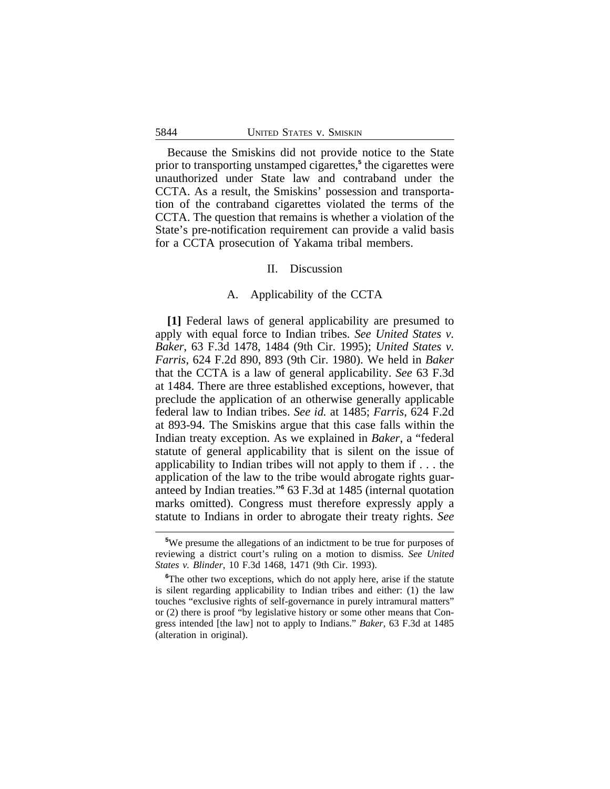Because the Smiskins did not provide notice to the State prior to transporting unstamped cigarettes,**<sup>5</sup>** the cigarettes were unauthorized under State law and contraband under the CCTA. As a result, the Smiskins' possession and transportation of the contraband cigarettes violated the terms of the CCTA. The question that remains is whether a violation of the State's pre-notification requirement can provide a valid basis for a CCTA prosecution of Yakama tribal members.

## II. Discussion

## A. Applicability of the CCTA

**[1]** Federal laws of general applicability are presumed to apply with equal force to Indian tribes. *See United States v. Baker*, 63 F.3d 1478, 1484 (9th Cir. 1995); *United States v. Farris*, 624 F.2d 890, 893 (9th Cir. 1980). We held in *Baker* that the CCTA is a law of general applicability. *See* 63 F.3d at 1484. There are three established exceptions, however, that preclude the application of an otherwise generally applicable federal law to Indian tribes. *See id.* at 1485; *Farris*, 624 F.2d at 893-94. The Smiskins argue that this case falls within the Indian treaty exception. As we explained in *Baker*, a "federal statute of general applicability that is silent on the issue of applicability to Indian tribes will not apply to them if . . . the application of the law to the tribe would abrogate rights guaranteed by Indian treaties." **6** 63 F.3d at 1485 (internal quotation marks omitted). Congress must therefore expressly apply a statute to Indians in order to abrogate their treaty rights. *See*

**<sup>5</sup>**We presume the allegations of an indictment to be true for purposes of reviewing a district court's ruling on a motion to dismiss. *See United States v. Blinder*, 10 F.3d 1468, 1471 (9th Cir. 1993).

<sup>&</sup>lt;sup>6</sup>The other two exceptions, which do not apply here, arise if the statute is silent regarding applicability to Indian tribes and either: (1) the law touches "exclusive rights of self-governance in purely intramural matters" or (2) there is proof "by legislative history or some other means that Congress intended [the law] not to apply to Indians." *Baker*, 63 F.3d at 1485 (alteration in original).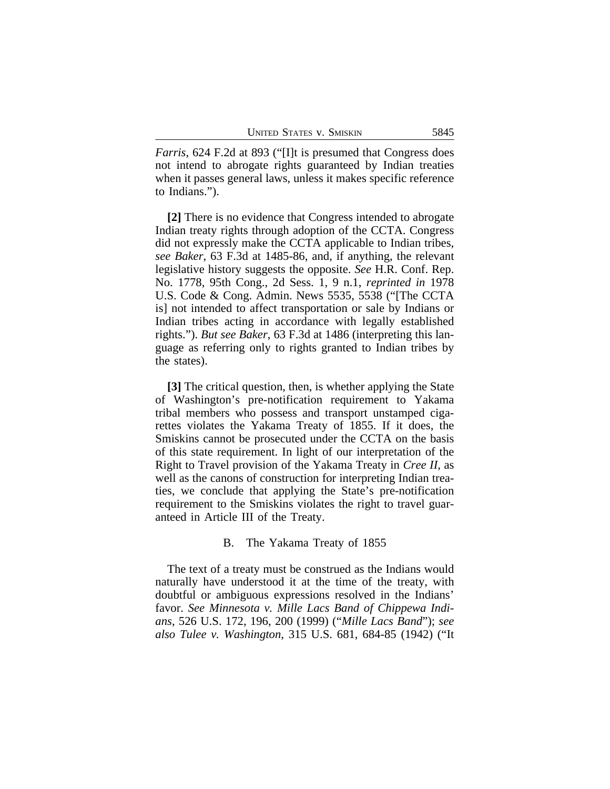*Farris*, 624 F.2d at 893 ("[I]t is presumed that Congress does not intend to abrogate rights guaranteed by Indian treaties when it passes general laws, unless it makes specific reference to Indians.").

**[2]** There is no evidence that Congress intended to abrogate Indian treaty rights through adoption of the CCTA. Congress did not expressly make the CCTA applicable to Indian tribes, *see Baker*, 63 F.3d at 1485-86, and, if anything, the relevant legislative history suggests the opposite. *See* H.R. Conf. Rep. No. 1778, 95th Cong., 2d Sess. 1, 9 n.1, *reprinted in* 1978 U.S. Code & Cong. Admin. News 5535, 5538 ("[The CCTA is] not intended to affect transportation or sale by Indians or Indian tribes acting in accordance with legally established rights."). *But see Baker*, 63 F.3d at 1486 (interpreting this language as referring only to rights granted to Indian tribes by the states).

**[3]** The critical question, then, is whether applying the State of Washington's pre-notification requirement to Yakama tribal members who possess and transport unstamped cigarettes violates the Yakama Treaty of 1855. If it does, the Smiskins cannot be prosecuted under the CCTA on the basis of this state requirement. In light of our interpretation of the Right to Travel provision of the Yakama Treaty in *Cree II*, as well as the canons of construction for interpreting Indian treaties, we conclude that applying the State's pre-notification requirement to the Smiskins violates the right to travel guaranteed in Article III of the Treaty.

#### B. The Yakama Treaty of 1855

The text of a treaty must be construed as the Indians would naturally have understood it at the time of the treaty, with doubtful or ambiguous expressions resolved in the Indians' favor. *See Minnesota v. Mille Lacs Band of Chippewa Indians*, 526 U.S. 172, 196, 200 (1999) ("*Mille Lacs Band*"); *see also Tulee v. Washington*, 315 U.S. 681, 684-85 (1942) ("It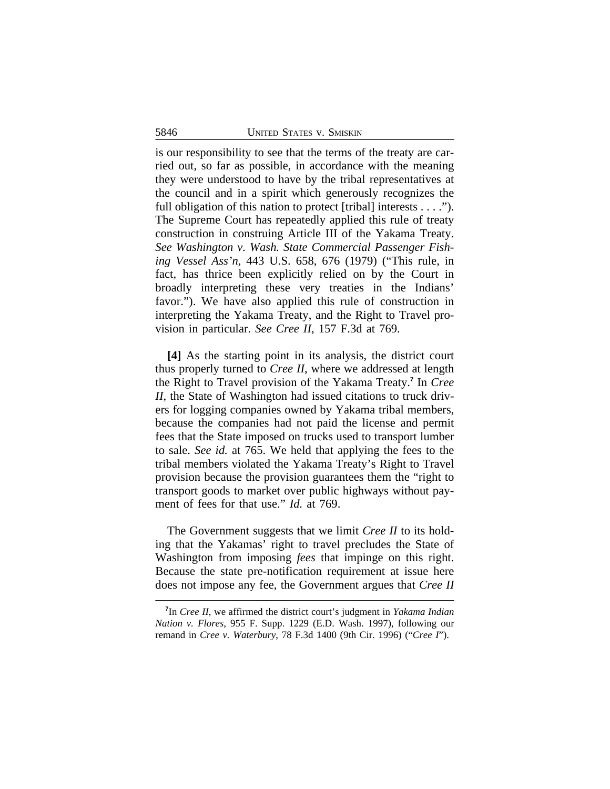is our responsibility to see that the terms of the treaty are carried out, so far as possible, in accordance with the meaning they were understood to have by the tribal representatives at the council and in a spirit which generously recognizes the full obligation of this nation to protect [tribal] interests  $\dots$ ."). The Supreme Court has repeatedly applied this rule of treaty construction in construing Article III of the Yakama Treaty. *See Washington v. Wash. State Commercial Passenger Fishing Vessel Ass'n*, 443 U.S. 658, 676 (1979) ("This rule, in fact, has thrice been explicitly relied on by the Court in broadly interpreting these very treaties in the Indians' favor."). We have also applied this rule of construction in interpreting the Yakama Treaty, and the Right to Travel provision in particular. *See Cree II*, 157 F.3d at 769.

**[4]** As the starting point in its analysis, the district court thus properly turned to *Cree II*, where we addressed at length the Right to Travel provision of the Yakama Treaty.**<sup>7</sup>** In *Cree II*, the State of Washington had issued citations to truck drivers for logging companies owned by Yakama tribal members, because the companies had not paid the license and permit fees that the State imposed on trucks used to transport lumber to sale. *See id.* at 765. We held that applying the fees to the tribal members violated the Yakama Treaty's Right to Travel provision because the provision guarantees them the "right to transport goods to market over public highways without payment of fees for that use." *Id.* at 769.

The Government suggests that we limit *Cree II* to its holding that the Yakamas' right to travel precludes the State of Washington from imposing *fees* that impinge on this right. Because the state pre-notification requirement at issue here does not impose any fee, the Government argues that *Cree II*

**<sup>7</sup>** In *Cree II*, we affirmed the district court's judgment in *Yakama Indian Nation v. Flores*, 955 F. Supp. 1229 (E.D. Wash. 1997), following our remand in *Cree v. Waterbury*, 78 F.3d 1400 (9th Cir. 1996) ("*Cree I*").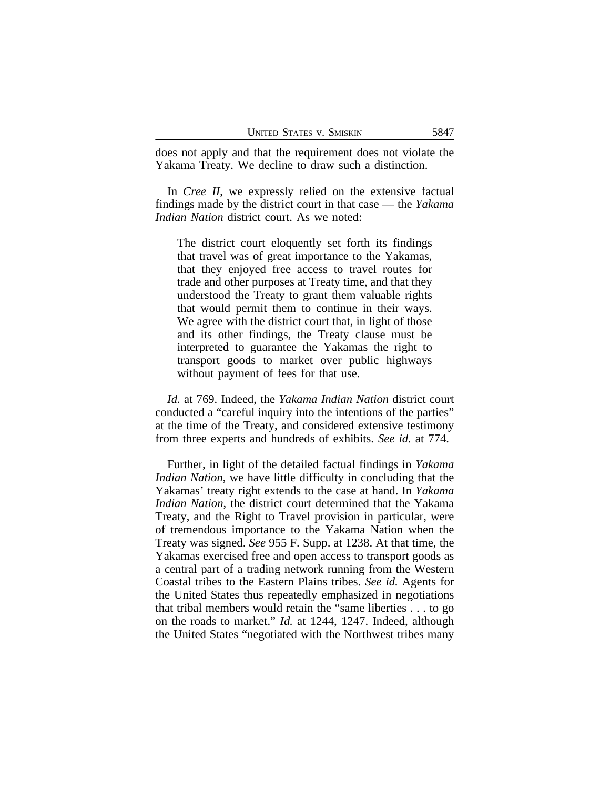does not apply and that the requirement does not violate the Yakama Treaty. We decline to draw such a distinction.

In *Cree II*, we expressly relied on the extensive factual findings made by the district court in that case — the *Yakama Indian Nation* district court. As we noted:

The district court eloquently set forth its findings that travel was of great importance to the Yakamas, that they enjoyed free access to travel routes for trade and other purposes at Treaty time, and that they understood the Treaty to grant them valuable rights that would permit them to continue in their ways. We agree with the district court that, in light of those and its other findings, the Treaty clause must be interpreted to guarantee the Yakamas the right to transport goods to market over public highways without payment of fees for that use.

*Id.* at 769. Indeed, the *Yakama Indian Nation* district court conducted a "careful inquiry into the intentions of the parties" at the time of the Treaty, and considered extensive testimony from three experts and hundreds of exhibits. *See id.* at 774.

Further, in light of the detailed factual findings in *Yakama Indian Nation*, we have little difficulty in concluding that the Yakamas' treaty right extends to the case at hand. In *Yakama Indian Nation*, the district court determined that the Yakama Treaty, and the Right to Travel provision in particular, were of tremendous importance to the Yakama Nation when the Treaty was signed. *See* 955 F. Supp. at 1238. At that time, the Yakamas exercised free and open access to transport goods as a central part of a trading network running from the Western Coastal tribes to the Eastern Plains tribes. *See id.* Agents for the United States thus repeatedly emphasized in negotiations that tribal members would retain the "same liberties . . . to go on the roads to market." *Id.* at 1244, 1247. Indeed, although the United States "negotiated with the Northwest tribes many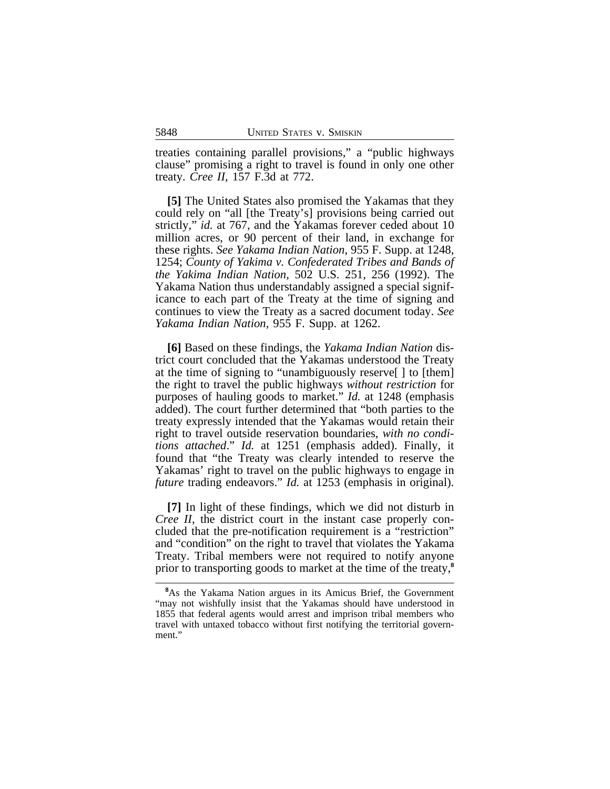treaties containing parallel provisions," a "public highways clause" promising a right to travel is found in only one other treaty. *Cree II*, 157 F.3d at 772.

**[5]** The United States also promised the Yakamas that they could rely on "all [the Treaty's] provisions being carried out strictly," *id.* at 767, and the Yakamas forever ceded about 10 million acres, or 90 percent of their land, in exchange for these rights. *See Yakama Indian Nation*, 955 F. Supp. at 1248, 1254; *County of Yakima v. Confederated Tribes and Bands of the Yakima Indian Nation*, 502 U.S. 251, 256 (1992). The Yakama Nation thus understandably assigned a special significance to each part of the Treaty at the time of signing and continues to view the Treaty as a sacred document today. *See Yakama Indian Nation*, 955 F. Supp. at 1262.

**[6]** Based on these findings, the *Yakama Indian Nation* district court concluded that the Yakamas understood the Treaty at the time of signing to "unambiguously reserve[ ] to [them] the right to travel the public highways *without restriction* for purposes of hauling goods to market." *Id.* at 1248 (emphasis added). The court further determined that "both parties to the treaty expressly intended that the Yakamas would retain their right to travel outside reservation boundaries, *with no conditions attached*." *Id.* at 1251 (emphasis added). Finally, it found that "the Treaty was clearly intended to reserve the Yakamas' right to travel on the public highways to engage in *future* trading endeavors." *Id.* at 1253 (emphasis in original).

**[7]** In light of these findings, which we did not disturb in *Cree II*, the district court in the instant case properly concluded that the pre-notification requirement is a "restriction" and "condition" on the right to travel that violates the Yakama Treaty. Tribal members were not required to notify anyone prior to transporting goods to market at the time of the treaty,**<sup>8</sup>**

**<sup>8</sup>**As the Yakama Nation argues in its Amicus Brief, the Government "may not wishfully insist that the Yakamas should have understood in 1855 that federal agents would arrest and imprison tribal members who travel with untaxed tobacco without first notifying the territorial government."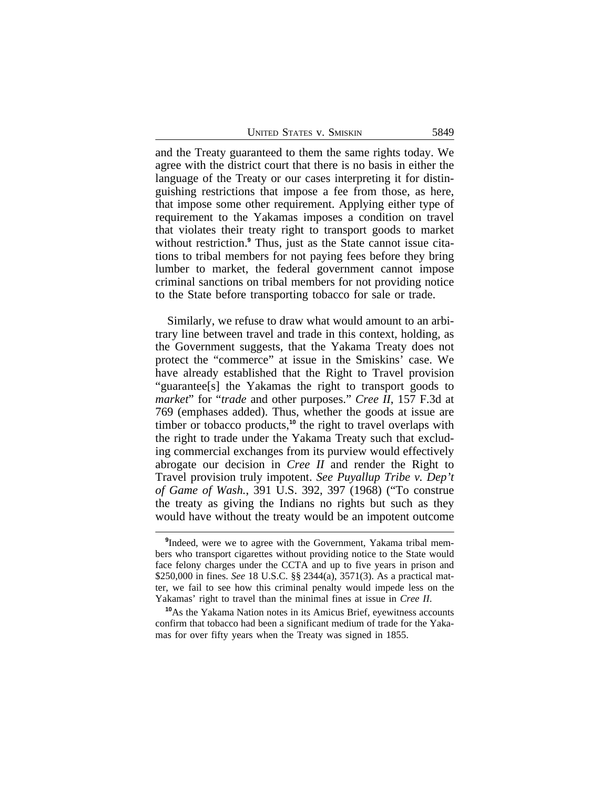| <b>UNITED STATES V. SMISKIN</b> |  | 5849 |
|---------------------------------|--|------|
|---------------------------------|--|------|

and the Treaty guaranteed to them the same rights today. We agree with the district court that there is no basis in either the language of the Treaty or our cases interpreting it for distinguishing restrictions that impose a fee from those, as here, that impose some other requirement. Applying either type of requirement to the Yakamas imposes a condition on travel that violates their treaty right to transport goods to market without restriction.**<sup>9</sup>** Thus, just as the State cannot issue citations to tribal members for not paying fees before they bring lumber to market, the federal government cannot impose criminal sanctions on tribal members for not providing notice to the State before transporting tobacco for sale or trade.

Similarly, we refuse to draw what would amount to an arbitrary line between travel and trade in this context, holding, as the Government suggests, that the Yakama Treaty does not protect the "commerce" at issue in the Smiskins' case. We have already established that the Right to Travel provision "guarantee[s] the Yakamas the right to transport goods to *market*" for "*trade* and other purposes." *Cree II*, 157 F.3d at 769 (emphases added). Thus, whether the goods at issue are timber or tobacco products,<sup>10</sup> the right to travel overlaps with the right to trade under the Yakama Treaty such that excluding commercial exchanges from its purview would effectively abrogate our decision in *Cree II* and render the Right to Travel provision truly impotent. *See Puyallup Tribe v. Dep't of Game of Wash.*, 391 U.S. 392, 397 (1968) ("To construe the treaty as giving the Indians no rights but such as they would have without the treaty would be an impotent outcome

**<sup>9</sup>** Indeed, were we to agree with the Government, Yakama tribal members who transport cigarettes without providing notice to the State would face felony charges under the CCTA and up to five years in prison and \$250,000 in fines. *See* 18 U.S.C. §§ 2344(a), 3571(3). As a practical matter, we fail to see how this criminal penalty would impede less on the Yakamas' right to travel than the minimal fines at issue in *Cree II*.

**<sup>10</sup>**As the Yakama Nation notes in its Amicus Brief, eyewitness accounts confirm that tobacco had been a significant medium of trade for the Yakamas for over fifty years when the Treaty was signed in 1855.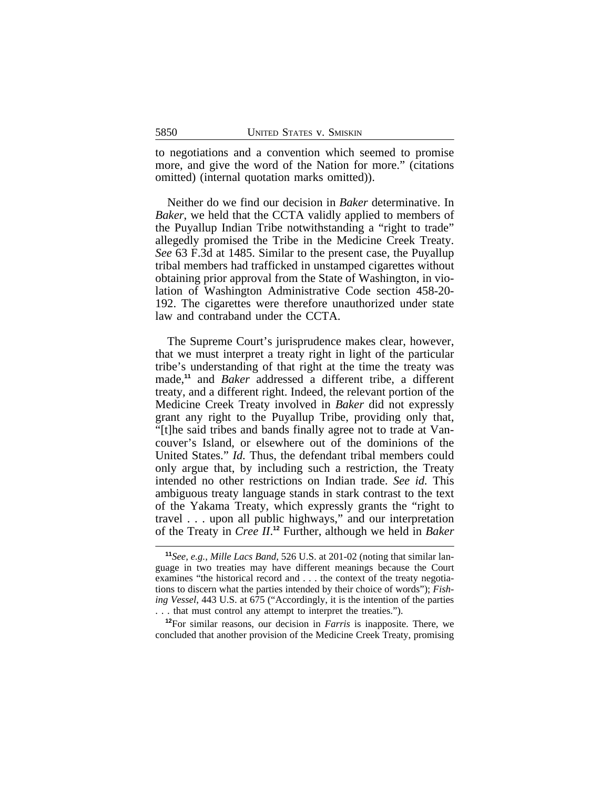to negotiations and a convention which seemed to promise more, and give the word of the Nation for more." (citations omitted) (internal quotation marks omitted)).

Neither do we find our decision in *Baker* determinative. In *Baker*, we held that the CCTA validly applied to members of the Puyallup Indian Tribe notwithstanding a "right to trade" allegedly promised the Tribe in the Medicine Creek Treaty. *See* 63 F.3d at 1485. Similar to the present case, the Puyallup tribal members had trafficked in unstamped cigarettes without obtaining prior approval from the State of Washington, in violation of Washington Administrative Code section 458-20- 192. The cigarettes were therefore unauthorized under state law and contraband under the CCTA.

The Supreme Court's jurisprudence makes clear, however, that we must interpret a treaty right in light of the particular tribe's understanding of that right at the time the treaty was made,**<sup>11</sup>** and *Baker* addressed a different tribe, a different treaty, and a different right. Indeed, the relevant portion of the Medicine Creek Treaty involved in *Baker* did not expressly grant any right to the Puyallup Tribe, providing only that, "[t]he said tribes and bands finally agree not to trade at Vancouver's Island, or elsewhere out of the dominions of the United States." *Id.* Thus, the defendant tribal members could only argue that, by including such a restriction, the Treaty intended no other restrictions on Indian trade. *See id.* This ambiguous treaty language stands in stark contrast to the text of the Yakama Treaty, which expressly grants the "right to travel . . . upon all public highways," and our interpretation of the Treaty in *Cree II*. **<sup>12</sup>** Further, although we held in *Baker*

**<sup>12</sup>**For similar reasons, our decision in *Farris* is inapposite. There, we concluded that another provision of the Medicine Creek Treaty, promising

**<sup>11</sup>***See, e.g.*, *Mille Lacs Band*, 526 U.S. at 201-02 (noting that similar language in two treaties may have different meanings because the Court examines "the historical record and . . . the context of the treaty negotiations to discern what the parties intended by their choice of words"); *Fishing Vessel*, 443 U.S. at 675 ("Accordingly, it is the intention of the parties . . . that must control any attempt to interpret the treaties.").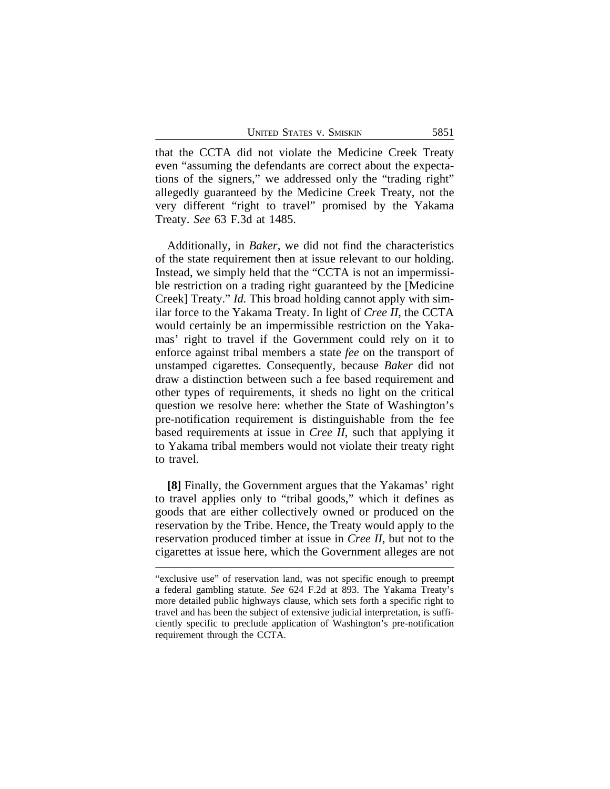that the CCTA did not violate the Medicine Creek Treaty even "assuming the defendants are correct about the expectations of the signers," we addressed only the "trading right" allegedly guaranteed by the Medicine Creek Treaty, not the very different "right to travel" promised by the Yakama Treaty. *See* 63 F.3d at 1485.

Additionally, in *Baker*, we did not find the characteristics of the state requirement then at issue relevant to our holding. Instead, we simply held that the "CCTA is not an impermissible restriction on a trading right guaranteed by the [Medicine Creek] Treaty." *Id.* This broad holding cannot apply with similar force to the Yakama Treaty. In light of *Cree II*, the CCTA would certainly be an impermissible restriction on the Yakamas' right to travel if the Government could rely on it to enforce against tribal members a state *fee* on the transport of unstamped cigarettes. Consequently, because *Baker* did not draw a distinction between such a fee based requirement and other types of requirements, it sheds no light on the critical question we resolve here: whether the State of Washington's pre-notification requirement is distinguishable from the fee based requirements at issue in *Cree II*, such that applying it to Yakama tribal members would not violate their treaty right to travel.

**[8]** Finally, the Government argues that the Yakamas' right to travel applies only to "tribal goods," which it defines as goods that are either collectively owned or produced on the reservation by the Tribe. Hence, the Treaty would apply to the reservation produced timber at issue in *Cree II*, but not to the cigarettes at issue here, which the Government alleges are not

<sup>&</sup>quot;exclusive use" of reservation land, was not specific enough to preempt a federal gambling statute. *See* 624 F.2d at 893. The Yakama Treaty's more detailed public highways clause, which sets forth a specific right to travel and has been the subject of extensive judicial interpretation, is sufficiently specific to preclude application of Washington's pre-notification requirement through the CCTA.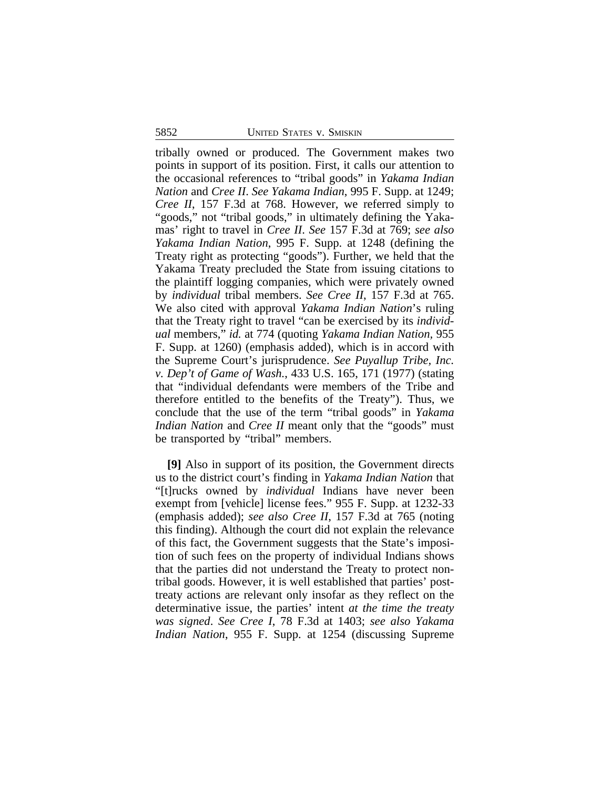tribally owned or produced. The Government makes two points in support of its position. First, it calls our attention to the occasional references to "tribal goods" in *Yakama Indian Nation* and *Cree II*. *See Yakama Indian*, 995 F. Supp. at 1249; *Cree II*, 157 F.3d at 768. However, we referred simply to "goods," not "tribal goods," in ultimately defining the Yakamas' right to travel in *Cree II*. *See* 157 F.3d at 769; *see also Yakama Indian Nation*, 995 F. Supp. at 1248 (defining the Treaty right as protecting "goods"). Further, we held that the Yakama Treaty precluded the State from issuing citations to the plaintiff logging companies, which were privately owned by *individual* tribal members. *See Cree II*, 157 F.3d at 765. We also cited with approval *Yakama Indian Nation*'s ruling that the Treaty right to travel "can be exercised by its *individual* members," *id.* at 774 (quoting *Yakama Indian Nation,* 955 F. Supp. at 1260) (emphasis added), which is in accord with the Supreme Court's jurisprudence. *See Puyallup Tribe, Inc. v. Dep't of Game of Wash.*, 433 U.S. 165, 171 (1977) (stating that "individual defendants were members of the Tribe and therefore entitled to the benefits of the Treaty"). Thus, we conclude that the use of the term "tribal goods" in *Yakama Indian Nation* and *Cree II* meant only that the "goods" must be transported by "tribal" members.

**[9]** Also in support of its position, the Government directs us to the district court's finding in *Yakama Indian Nation* that "[t]rucks owned by *individual* Indians have never been exempt from [vehicle] license fees." 955 F. Supp. at 1232-33 (emphasis added); *see also Cree II*, 157 F.3d at 765 (noting this finding). Although the court did not explain the relevance of this fact, the Government suggests that the State's imposition of such fees on the property of individual Indians shows that the parties did not understand the Treaty to protect nontribal goods. However, it is well established that parties' posttreaty actions are relevant only insofar as they reflect on the determinative issue, the parties' intent *at the time the treaty was signed*. *See Cree I*, 78 F.3d at 1403; *see also Yakama Indian Nation*, 955 F. Supp. at 1254 (discussing Supreme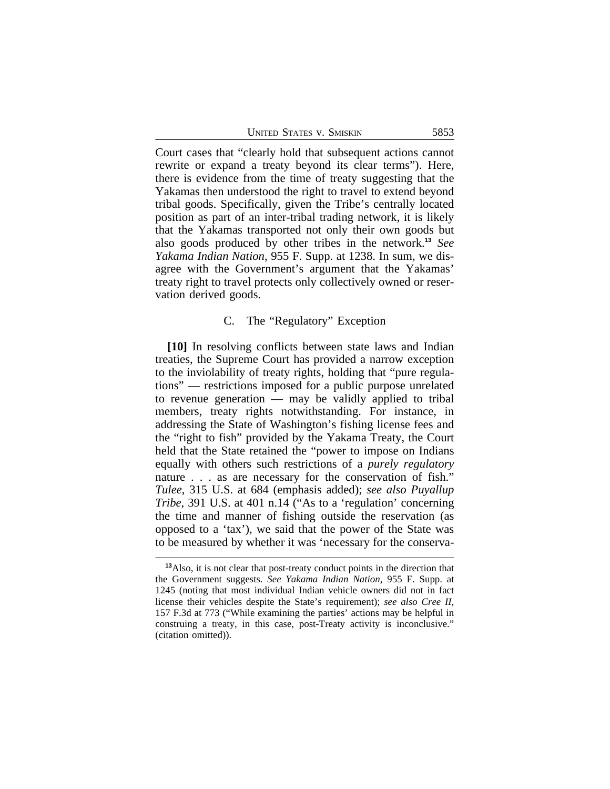| <b>UNITED STATES V. SMISKIN</b> |  | 5853 |
|---------------------------------|--|------|
|---------------------------------|--|------|

Court cases that "clearly hold that subsequent actions cannot rewrite or expand a treaty beyond its clear terms"). Here, there is evidence from the time of treaty suggesting that the Yakamas then understood the right to travel to extend beyond tribal goods. Specifically, given the Tribe's centrally located position as part of an inter-tribal trading network, it is likely that the Yakamas transported not only their own goods but also goods produced by other tribes in the network.**<sup>13</sup>** *See Yakama Indian Nation*, 955 F. Supp. at 1238. In sum, we disagree with the Government's argument that the Yakamas' treaty right to travel protects only collectively owned or reservation derived goods.

## C. The "Regulatory" Exception

**[10]** In resolving conflicts between state laws and Indian treaties, the Supreme Court has provided a narrow exception to the inviolability of treaty rights, holding that "pure regulations" — restrictions imposed for a public purpose unrelated to revenue generation — may be validly applied to tribal members, treaty rights notwithstanding. For instance, in addressing the State of Washington's fishing license fees and the "right to fish" provided by the Yakama Treaty, the Court held that the State retained the "power to impose on Indians equally with others such restrictions of a *purely regulatory* nature . . . as are necessary for the conservation of fish." *Tulee*, 315 U.S. at 684 (emphasis added); *see also Puyallup Tribe*, 391 U.S. at 401 n.14 ("As to a 'regulation' concerning the time and manner of fishing outside the reservation (as opposed to a 'tax'), we said that the power of the State was to be measured by whether it was 'necessary for the conserva-

**<sup>13</sup>**Also, it is not clear that post-treaty conduct points in the direction that the Government suggests. *See Yakama Indian Nation*, 955 F. Supp. at 1245 (noting that most individual Indian vehicle owners did not in fact license their vehicles despite the State's requirement); *see also Cree II*, 157 F.3d at 773 ("While examining the parties' actions may be helpful in construing a treaty, in this case, post-Treaty activity is inconclusive." (citation omitted)).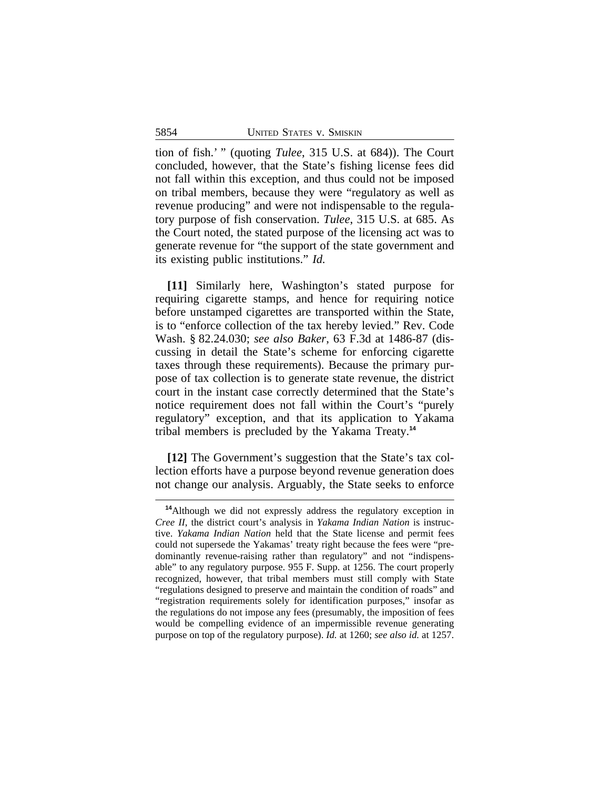tion of fish.' " (quoting *Tulee*, 315 U.S. at 684)). The Court concluded, however, that the State's fishing license fees did not fall within this exception, and thus could not be imposed on tribal members, because they were "regulatory as well as revenue producing" and were not indispensable to the regulatory purpose of fish conservation. *Tulee*, 315 U.S. at 685. As the Court noted, the stated purpose of the licensing act was to generate revenue for "the support of the state government and its existing public institutions." *Id.*

**[11]** Similarly here, Washington's stated purpose for requiring cigarette stamps, and hence for requiring notice before unstamped cigarettes are transported within the State, is to "enforce collection of the tax hereby levied." Rev. Code Wash. § 82.24.030; *see also Baker*, 63 F.3d at 1486-87 (discussing in detail the State's scheme for enforcing cigarette taxes through these requirements). Because the primary purpose of tax collection is to generate state revenue, the district court in the instant case correctly determined that the State's notice requirement does not fall within the Court's "purely regulatory" exception, and that its application to Yakama tribal members is precluded by the Yakama Treaty.**<sup>14</sup>**

**[12]** The Government's suggestion that the State's tax collection efforts have a purpose beyond revenue generation does not change our analysis. Arguably, the State seeks to enforce

**<sup>14</sup>**Although we did not expressly address the regulatory exception in *Cree II*, the district court's analysis in *Yakama Indian Nation* is instructive. *Yakama Indian Nation* held that the State license and permit fees could not supersede the Yakamas' treaty right because the fees were "predominantly revenue-raising rather than regulatory" and not "indispensable" to any regulatory purpose. 955 F. Supp. at 1256. The court properly recognized, however, that tribal members must still comply with State "regulations designed to preserve and maintain the condition of roads" and "registration requirements solely for identification purposes," insofar as the regulations do not impose any fees (presumably, the imposition of fees would be compelling evidence of an impermissible revenue generating purpose on top of the regulatory purpose). *Id.* at 1260; *see also id.* at 1257.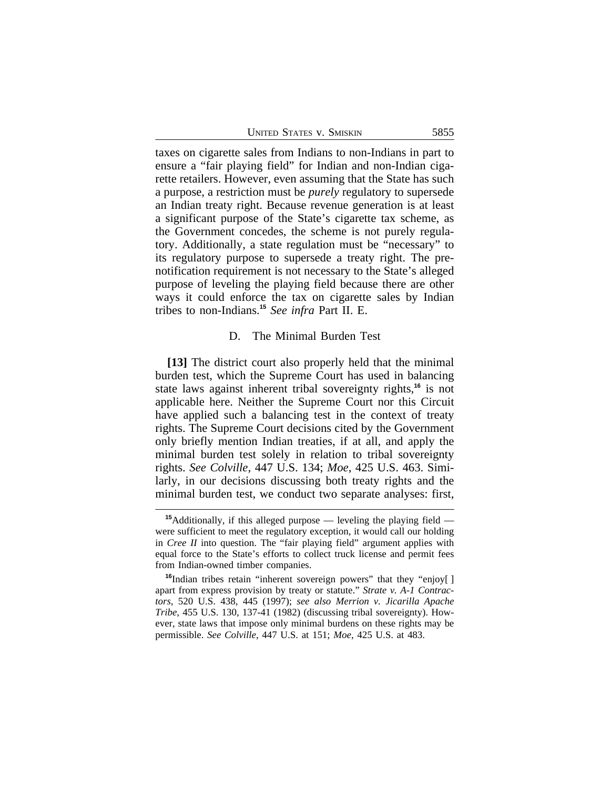| <b>UNITED STATES V. SMISKIN</b> |  | 5855 |
|---------------------------------|--|------|
|---------------------------------|--|------|

taxes on cigarette sales from Indians to non-Indians in part to ensure a "fair playing field" for Indian and non-Indian cigarette retailers. However, even assuming that the State has such a purpose, a restriction must be *purely* regulatory to supersede an Indian treaty right. Because revenue generation is at least a significant purpose of the State's cigarette tax scheme, as the Government concedes, the scheme is not purely regulatory. Additionally, a state regulation must be "necessary" to its regulatory purpose to supersede a treaty right. The prenotification requirement is not necessary to the State's alleged purpose of leveling the playing field because there are other ways it could enforce the tax on cigarette sales by Indian tribes to non-Indians.**<sup>15</sup>** *See infra* Part II. E.

## D. The Minimal Burden Test

**[13]** The district court also properly held that the minimal burden test, which the Supreme Court has used in balancing state laws against inherent tribal sovereignty rights,**<sup>16</sup>** is not applicable here. Neither the Supreme Court nor this Circuit have applied such a balancing test in the context of treaty rights. The Supreme Court decisions cited by the Government only briefly mention Indian treaties, if at all, and apply the minimal burden test solely in relation to tribal sovereignty rights. *See Colville*, 447 U.S. 134; *Moe*, 425 U.S. 463. Similarly, in our decisions discussing both treaty rights and the minimal burden test, we conduct two separate analyses: first,

**<sup>15</sup>**Additionally, if this alleged purpose — leveling the playing field were sufficient to meet the regulatory exception, it would call our holding in *Cree II* into question. The "fair playing field" argument applies with equal force to the State's efforts to collect truck license and permit fees from Indian-owned timber companies.

**<sup>16</sup>**Indian tribes retain "inherent sovereign powers" that they "enjoy[ ] apart from express provision by treaty or statute." *Strate v. A-1 Contractors*, 520 U.S. 438, 445 (1997); *see also Merrion v. Jicarilla Apache Tribe*, 455 U.S. 130, 137-41 (1982) (discussing tribal sovereignty). However, state laws that impose only minimal burdens on these rights may be permissible. *See Colville*, 447 U.S. at 151; *Moe*, 425 U.S. at 483.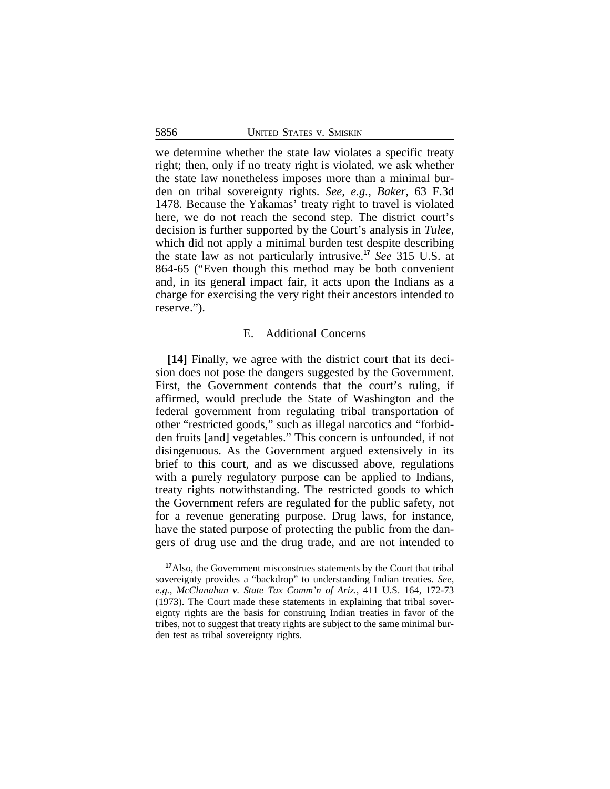we determine whether the state law violates a specific treaty right; then, only if no treaty right is violated, we ask whether the state law nonetheless imposes more than a minimal burden on tribal sovereignty rights. *See, e.g.*, *Baker*, 63 F.3d 1478. Because the Yakamas' treaty right to travel is violated here, we do not reach the second step. The district court's decision is further supported by the Court's analysis in *Tulee*, which did not apply a minimal burden test despite describing the state law as not particularly intrusive.**<sup>17</sup>** *See* 315 U.S. at 864-65 ("Even though this method may be both convenient and, in its general impact fair, it acts upon the Indians as a charge for exercising the very right their ancestors intended to reserve.").

## E. Additional Concerns

**[14]** Finally, we agree with the district court that its decision does not pose the dangers suggested by the Government. First, the Government contends that the court's ruling, if affirmed, would preclude the State of Washington and the federal government from regulating tribal transportation of other "restricted goods," such as illegal narcotics and "forbidden fruits [and] vegetables." This concern is unfounded, if not disingenuous. As the Government argued extensively in its brief to this court, and as we discussed above, regulations with a purely regulatory purpose can be applied to Indians, treaty rights notwithstanding. The restricted goods to which the Government refers are regulated for the public safety, not for a revenue generating purpose. Drug laws, for instance, have the stated purpose of protecting the public from the dangers of drug use and the drug trade, and are not intended to

**<sup>17</sup>**Also, the Government misconstrues statements by the Court that tribal sovereignty provides a "backdrop" to understanding Indian treaties. *See, e.g.*, *McClanahan v. State Tax Comm'n of Ariz.*, 411 U.S. 164, 172-73 (1973). The Court made these statements in explaining that tribal sovereignty rights are the basis for construing Indian treaties in favor of the tribes, not to suggest that treaty rights are subject to the same minimal burden test as tribal sovereignty rights.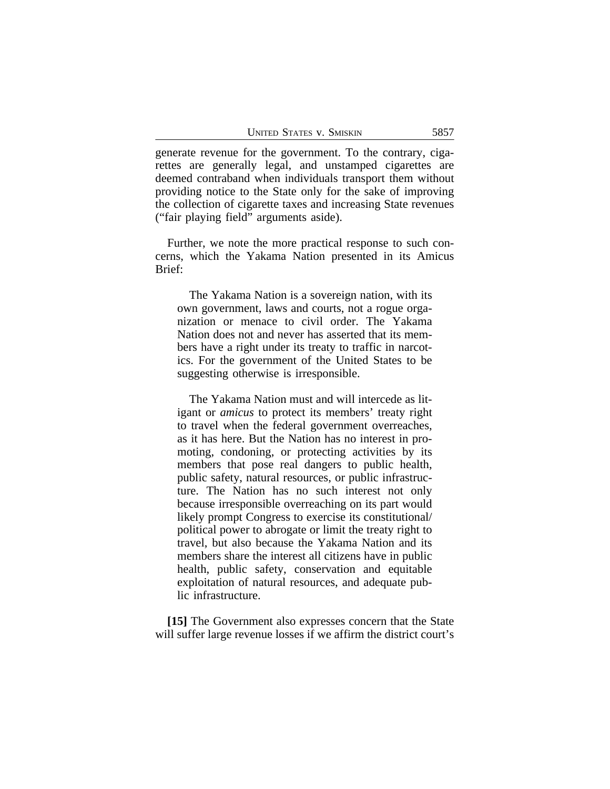generate revenue for the government. To the contrary, cigarettes are generally legal, and unstamped cigarettes are deemed contraband when individuals transport them without providing notice to the State only for the sake of improving the collection of cigarette taxes and increasing State revenues ("fair playing field" arguments aside).

Further, we note the more practical response to such concerns, which the Yakama Nation presented in its Amicus Brief:

The Yakama Nation is a sovereign nation, with its own government, laws and courts, not a rogue organization or menace to civil order. The Yakama Nation does not and never has asserted that its members have a right under its treaty to traffic in narcotics. For the government of the United States to be suggesting otherwise is irresponsible.

The Yakama Nation must and will intercede as litigant or *amicus* to protect its members' treaty right to travel when the federal government overreaches, as it has here. But the Nation has no interest in promoting, condoning, or protecting activities by its members that pose real dangers to public health, public safety, natural resources, or public infrastructure. The Nation has no such interest not only because irresponsible overreaching on its part would likely prompt Congress to exercise its constitutional/ political power to abrogate or limit the treaty right to travel, but also because the Yakama Nation and its members share the interest all citizens have in public health, public safety, conservation and equitable exploitation of natural resources, and adequate public infrastructure.

**[15]** The Government also expresses concern that the State will suffer large revenue losses if we affirm the district court's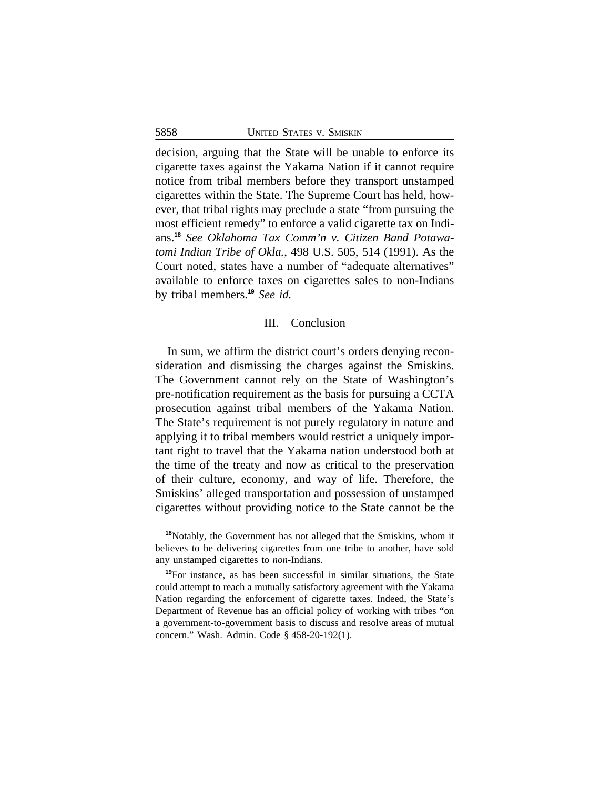decision, arguing that the State will be unable to enforce its cigarette taxes against the Yakama Nation if it cannot require notice from tribal members before they transport unstamped cigarettes within the State. The Supreme Court has held, however, that tribal rights may preclude a state "from pursuing the most efficient remedy" to enforce a valid cigarette tax on Indians.**<sup>18</sup>** *See Oklahoma Tax Comm'n v. Citizen Band Potawatomi Indian Tribe of Okla.*, 498 U.S. 505, 514 (1991). As the Court noted, states have a number of "adequate alternatives" available to enforce taxes on cigarettes sales to non-Indians by tribal members.**<sup>19</sup>** *See id.* 

## III. Conclusion

In sum, we affirm the district court's orders denying reconsideration and dismissing the charges against the Smiskins. The Government cannot rely on the State of Washington's pre-notification requirement as the basis for pursuing a CCTA prosecution against tribal members of the Yakama Nation. The State's requirement is not purely regulatory in nature and applying it to tribal members would restrict a uniquely important right to travel that the Yakama nation understood both at the time of the treaty and now as critical to the preservation of their culture, economy, and way of life. Therefore, the Smiskins' alleged transportation and possession of unstamped cigarettes without providing notice to the State cannot be the

**<sup>18</sup>**Notably, the Government has not alleged that the Smiskins, whom it believes to be delivering cigarettes from one tribe to another, have sold any unstamped cigarettes to *non*-Indians.

**<sup>19</sup>**For instance, as has been successful in similar situations, the State could attempt to reach a mutually satisfactory agreement with the Yakama Nation regarding the enforcement of cigarette taxes. Indeed, the State's Department of Revenue has an official policy of working with tribes "on a government-to-government basis to discuss and resolve areas of mutual concern." Wash. Admin. Code § 458-20-192(1).